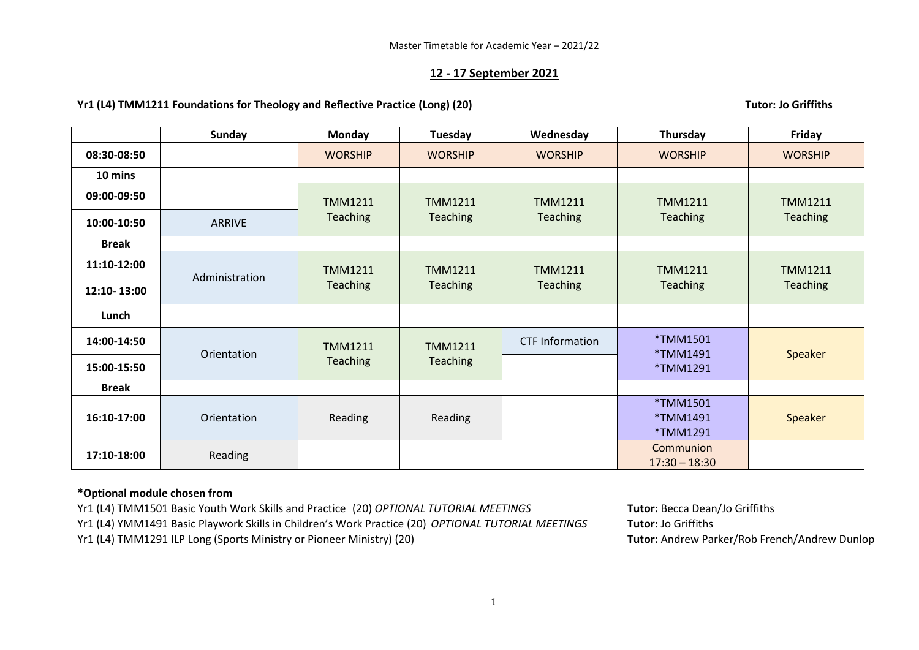### **12 - 17 September 2021**

### **Yr1 (L4) TMM1211 Foundations for Theology and Reflective Practice (Long) (20) Tutor: Jo Griffiths**

**Sunday Monday Tuesday Wednesday Thursday Friday 08:30-08:50** | | WORSHIP | WORSHIP | WORSHIP | WORSHIP | WORSHIP **10 mins 09:00-09:50** TMM1211 Teaching TMM1211 **Teaching** TMM1211 Teaching TMM1211 Teaching TMM1211 **10:00-10:50** ARRIVE | Teaching | Teaching | Teaching | Teaching | Teaching | Teaching **Break 11:10-12:00** Administration TMM1211 **Teaching** TMM1211 **Teaching** TMM1211 Teaching TMM1211 Teaching TMM1211 **12:10-13:00 12:10-13:00 12:10-13:00 12:10-13:00 12:10-13:00 12:10-13:00 12:10-13:00 12:10-13:00 12:10-13:00 12:10-13:00 12:10-13:00 12:10-13:00 12:10-13:00 12:10-13:00 12:10 Lunch 14:00-14:50** Orientation TMM1211 Teaching TMM1211 **Teaching** CTF Information \*TMM1501 \*TMM1491 \*TMM1291 **Speaker 15:00-15:50 Break 16:10-17:00** Orientation | Reading Reading \*TMM1501 \*TMM1491 \*TMM1291 Speaker **17:10-18:00** Reading Reading Reading Reading Reading Reading Reserves Reading Reserves Reading Reserves Reserve<br>Property Reading Reading Reserves Reading Reserves Reserves Reserves Reserves Reserves Reserves Reserves Rese 17:30 – 18:30

## **\*Optional module chosen from**

Yr1 (L4) TMM1501 Basic Youth Work Skills and Practice (20) *OPTIONAL TUTORIAL MEETINGS* **Tutor:** Becca Dean/Jo Griffiths Yr1 (L4) YMM1491 Basic Playwork Skills in Children's Work Practice (20) *OPTIONAL TUTORIAL MEETINGS* **Tutor:** Jo Griffiths Yr1 (L4) TMM1291 ILP Long (Sports Ministry or Pioneer Ministry) (20) **Tutor:** Andrew Parker/Rob French/Andrew Dunlop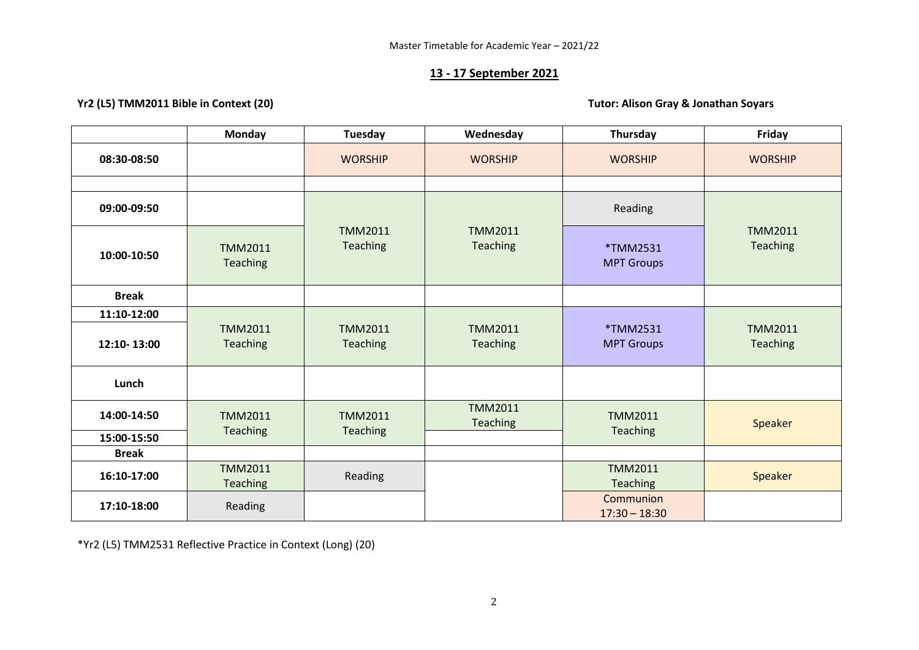# **13 - 17 September 2021**

# **Yr2 (L5) TMM2011 Bible in Context (20) Tutor: Alison Gray & Jonathan Soyars**

|              | <b>Monday</b>                     | <b>Tuesday</b>                    | Wednesday                         | Thursday                      | Friday                     |
|--------------|-----------------------------------|-----------------------------------|-----------------------------------|-------------------------------|----------------------------|
| 08:30-08:50  |                                   | <b>WORSHIP</b>                    | <b>WORSHIP</b>                    | <b>WORSHIP</b>                | <b>WORSHIP</b>             |
|              |                                   |                                   |                                   |                               |                            |
| 09:00-09:50  |                                   |                                   |                                   | Reading                       |                            |
| 10:00-10:50  | <b>TMM2011</b><br><b>Teaching</b> | <b>TMM2011</b><br><b>Teaching</b> | <b>TMM2011</b><br>Teaching        | *TMM2531<br><b>MPT Groups</b> | <b>TMM2011</b><br>Teaching |
| <b>Break</b> |                                   |                                   |                                   |                               |                            |
| 11:10-12:00  |                                   |                                   |                                   |                               |                            |
| 12:10-13:00  | <b>TMM2011</b><br><b>Teaching</b> | <b>TMM2011</b><br>Teaching        | <b>TMM2011</b><br>Teaching        | *TMM2531<br><b>MPT Groups</b> | <b>TMM2011</b><br>Teaching |
| Lunch        |                                   |                                   |                                   |                               |                            |
| 14:00-14:50  | <b>TMM2011</b>                    | <b>TMM2011</b>                    | <b>TMM2011</b><br><b>Teaching</b> | <b>TMM2011</b>                | Speaker                    |
| 15:00-15:50  | <b>Teaching</b>                   | Teaching                          |                                   | Teaching                      |                            |
| <b>Break</b> |                                   |                                   |                                   |                               |                            |
| 16:10-17:00  | <b>TMM2011</b><br>Teaching        | Reading                           |                                   | <b>TMM2011</b><br>Teaching    | Speaker                    |
| 17:10-18:00  | Reading                           |                                   |                                   | Communion<br>$17:30 - 18:30$  |                            |

\*Yr2 (L5) TMM2531 Reflective Practice in Context (Long) (20)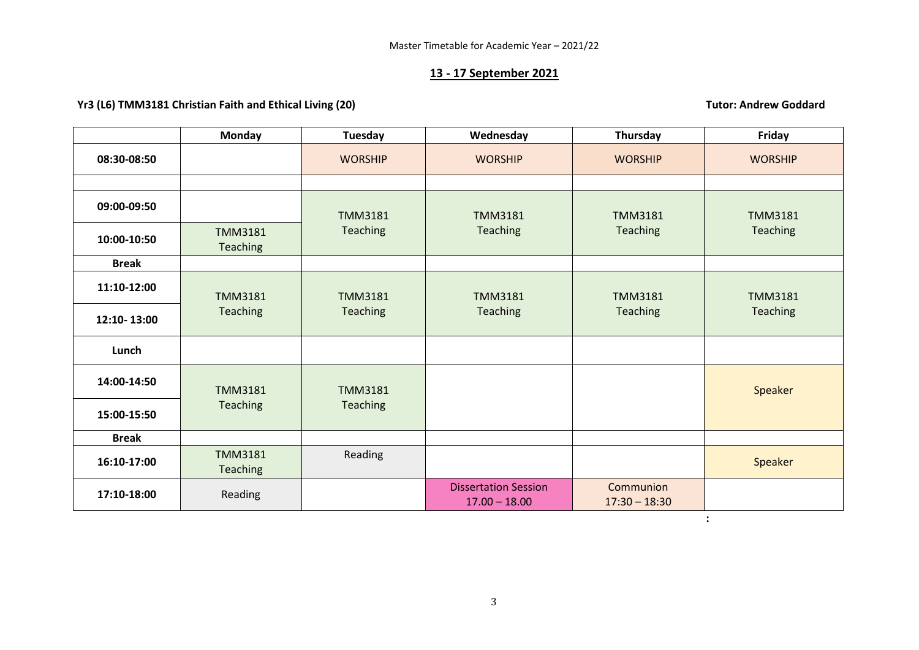#### **13 - 17 September 2021**

### **Yr3** (L6) TMM3181 Christian Faith and Ethical Living (20) Transference and the state of the state of the state of the state of the state of the state of the state of the state of the state of the state of the state of the

**Monday Tuesday Wednesday Thursday Friday 08:30-08:50** | | WORSHIP | WORSHIP | WORSHIP | WORSHIP **09:00-09:50** TMM3181 **Teaching** TMM3181 **Teaching** TMM3181 Teaching TMM3181 **10:00-10:50** TMM3181 Teaching Teaching Teaching Teaching Teaching Teaching<br>**10:00-10:50** Teaching Teaching Teaching **Break 11:10-12:00** TMM3181 **Teaching** TMM3181 Teaching TMM3181 Teaching TMM3181 **Teaching** TMM3181 Teaching **12:10- 13:00 Lunch 14:00-14:50** TMM3181 Teaching TMM3181 **Teaching** Speaker **15:00-15:50 Break 16:10-17:00** TMM3181 Teaching Reading Reading Reading Reserves and the set of the set of the set of the set of the set of the set of the set of the set of the set of the set of the set of the set of the set of the set of the set of the set of the set o **17:10-18:00** Reading Reading Reading Reading Reading Ression 17.00 – 18.00 **Communion** 17:30 – 18:30

**:** 

3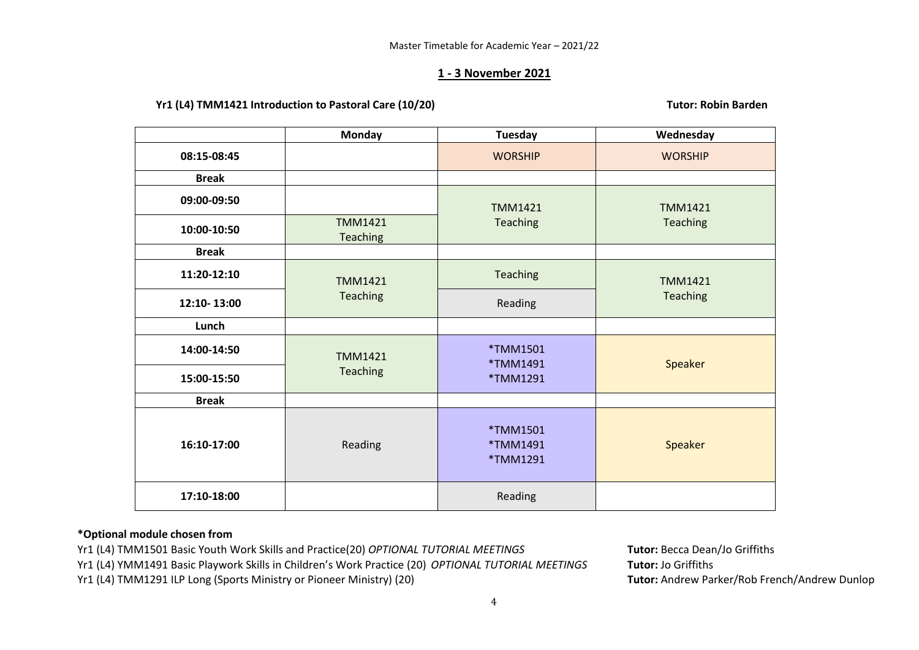### **1 - 3 November 2021**

Yr1 (L4) TMM1421 Introduction to Pastoral Care (10/20) **Tutor: Robin Barden** 

|              | <b>Monday</b>              | <b>Tuesday</b>                   | Wednesday      |  |
|--------------|----------------------------|----------------------------------|----------------|--|
| 08:15-08:45  |                            | <b>WORSHIP</b>                   | <b>WORSHIP</b> |  |
| <b>Break</b> |                            |                                  |                |  |
| 09:00-09:50  |                            | <b>TMM1421</b>                   | <b>TMM1421</b> |  |
| 10:00-10:50  | <b>TMM1421</b><br>Teaching | Teaching                         | Teaching       |  |
| <b>Break</b> |                            |                                  |                |  |
| 11:20-12:10  | <b>TMM1421</b>             | Teaching                         | <b>TMM1421</b> |  |
| 12:10-13:00  | Teaching                   | Reading                          | Teaching       |  |
| Lunch        |                            |                                  |                |  |
| 14:00-14:50  | <b>TMM1421</b>             | *TMM1501<br>*TMM1491             | Speaker        |  |
| 15:00-15:50  | Teaching                   | *TMM1291                         |                |  |
| <b>Break</b> |                            |                                  |                |  |
| 16:10-17:00  | Reading                    | *TMM1501<br>*TMM1491<br>*TMM1291 | Speaker        |  |
| 17:10-18:00  |                            | Reading                          |                |  |

# **\*Optional module chosen from**

Yr1 (L4) TMM1501 Basic Youth Work Skills and Practice(20) *OPTIONAL TUTORIAL MEETINGS* **Tutor:** Becca Dean/Jo Griffiths

Yr1 (L4) YMM1491 Basic Playwork Skills in Children's Work Practice (20) *OPTIONAL TUTORIAL MEETINGS* **Tutor:** Jo Griffiths

Yr1 (L4) TMM1291 ILP Long (Sports Ministry or Pioneer Ministry) (20) **Tutor:** Andrew Parker/Rob French/Andrew Dunlop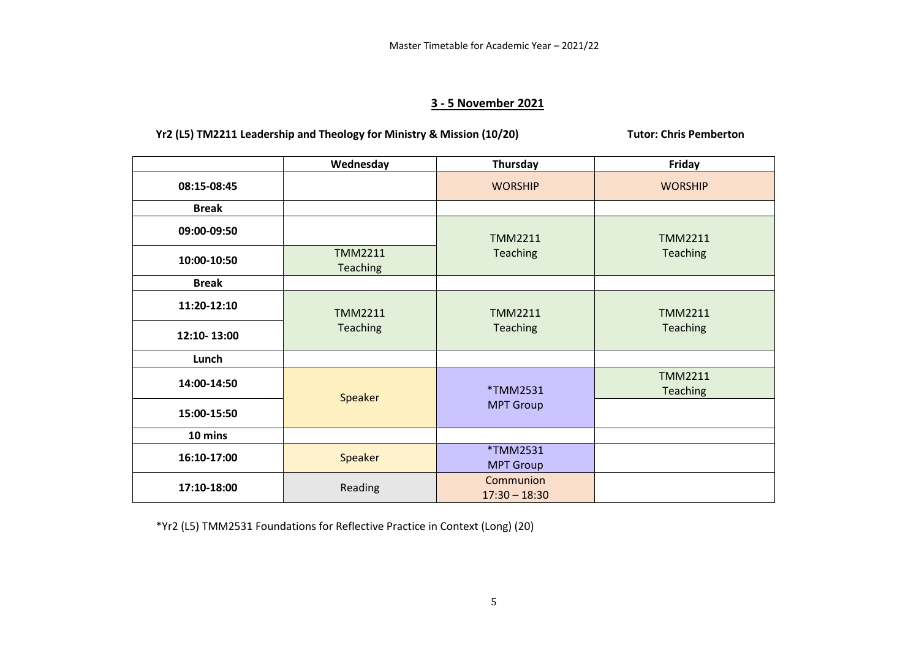# **3 - 5 November 2021**

# Yr2 (L5) **TM2211** Leadership and Theology for Ministry & Mission (10/20) Tutor: Chris Pemberton

|              | Wednesday                  | Thursday                     | Friday                     |  |
|--------------|----------------------------|------------------------------|----------------------------|--|
| 08:15-08:45  |                            | <b>WORSHIP</b>               | <b>WORSHIP</b>             |  |
| <b>Break</b> |                            |                              |                            |  |
| 09:00-09:50  |                            | <b>TMM2211</b>               | <b>TMM2211</b>             |  |
| 10:00-10:50  | <b>TMM2211</b><br>Teaching | Teaching                     | Teaching                   |  |
| <b>Break</b> |                            |                              |                            |  |
| 11:20-12:10  | <b>TMM2211</b>             | <b>TMM2211</b>               | <b>TMM2211</b>             |  |
| 12:10-13:00  | Teaching                   | Teaching                     | Teaching                   |  |
| Lunch        |                            |                              |                            |  |
| 14:00-14:50  | Speaker                    | *TMM2531                     | <b>TMM2211</b><br>Teaching |  |
| 15:00-15:50  |                            | <b>MPT Group</b>             |                            |  |
| 10 mins      |                            |                              |                            |  |
| 16:10-17:00  | Speaker                    | *TMM2531<br><b>MPT Group</b> |                            |  |
| 17:10-18:00  | Reading                    | Communion<br>$17:30 - 18:30$ |                            |  |

\*Yr2 (L5) TMM2531 Foundations for Reflective Practice in Context (Long) (20)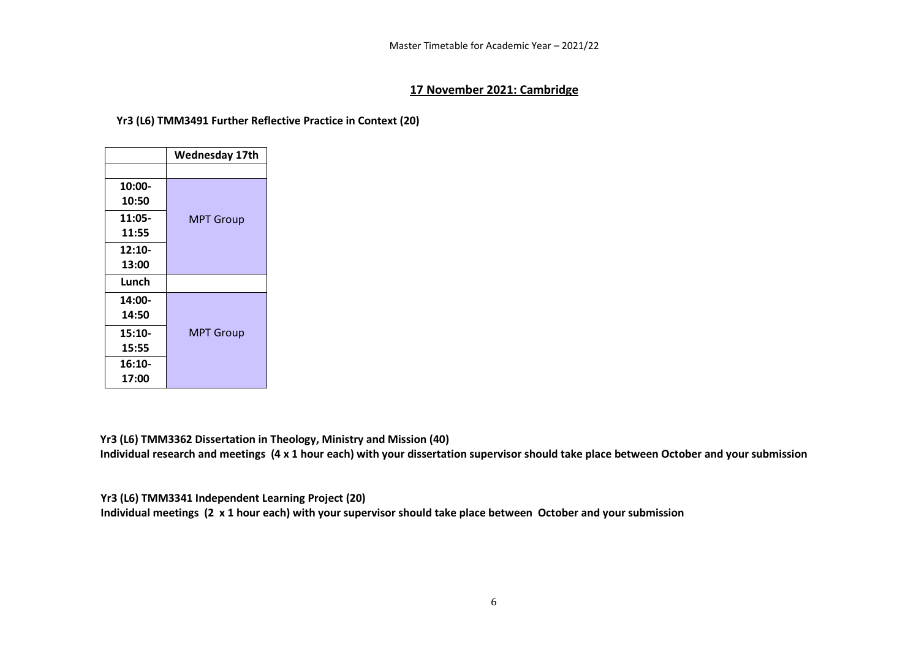### **17 November 2021: Cambridge**

#### **Yr3 (L6) TMM3491 Further Reflective Practice in Context (20)**

|          | <b>Wednesday 17th</b> |
|----------|-----------------------|
|          |                       |
| 10:00-   |                       |
| 10:50    |                       |
| 11:05-   | <b>MPT Group</b>      |
| 11:55    |                       |
| $12:10-$ |                       |
| 13:00    |                       |
| Lunch    |                       |
| 14:00-   |                       |
| 14:50    |                       |
| $15:10-$ | <b>MPT Group</b>      |
| 15:55    |                       |
| $16:10-$ |                       |
| 17:00    |                       |

**Yr3 (L6) TMM3362 Dissertation in Theology, Ministry and Mission (40)**

**Individual research and meetings (4 x 1 hour each) with your dissertation supervisor should take place between October and your submission** 

**Yr3 (L6) TMM3341 Independent Learning Project (20)** 

**Individual meetings (2 x 1 hour each) with your supervisor should take place between October and your submission**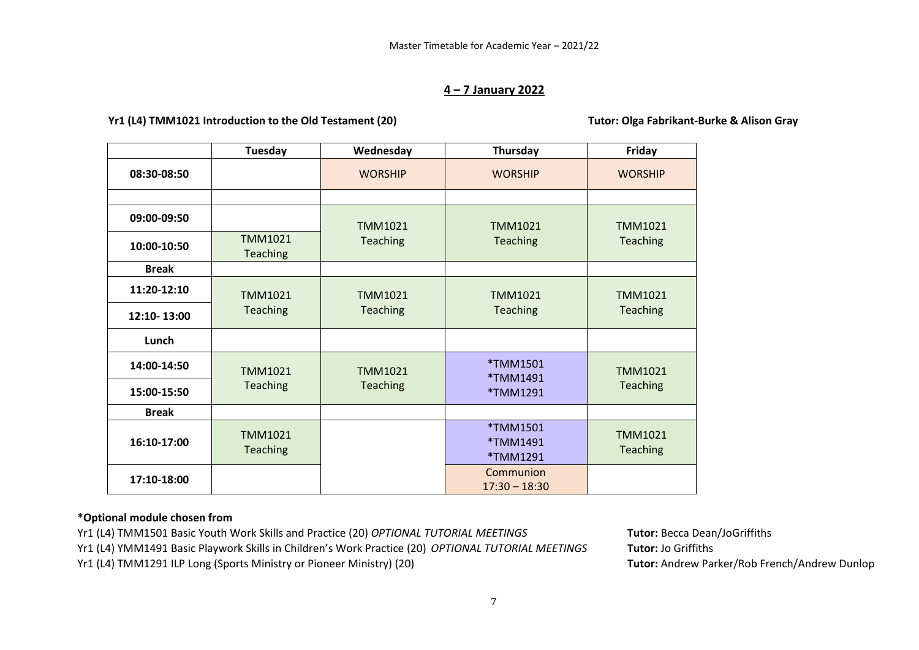### **4 – 7 January 2022**

# **Yr1 (L4) TMM1021 Introduction to the Old Testament (20) Tutor: Olga Fabrikant-Burke & Alison Gray**

|              | <b>Tuesday</b>                    | Wednesday       | Thursday                         | Friday                     |
|--------------|-----------------------------------|-----------------|----------------------------------|----------------------------|
| 08:30-08:50  |                                   | <b>WORSHIP</b>  | <b>WORSHIP</b>                   | <b>WORSHIP</b>             |
|              |                                   |                 |                                  |                            |
| 09:00-09:50  |                                   | <b>TMM1021</b>  | <b>TMM1021</b>                   | <b>TMM1021</b>             |
| 10:00-10:50  | TMM1021<br>Teaching               | Teaching        | <b>Teaching</b>                  | Teaching                   |
| <b>Break</b> |                                   |                 |                                  |                            |
| 11:20-12:10  | <b>TMM1021</b>                    | <b>TMM1021</b>  | <b>TMM1021</b>                   | TMM1021                    |
| 12:10-13:00  | Teaching                          | Teaching        | Teaching                         | Teaching                   |
| Lunch        |                                   |                 |                                  |                            |
| 14:00-14:50  | <b>TMM1021</b>                    | <b>TMM1021</b>  | *TMM1501<br>*TMM1491             | <b>TMM1021</b>             |
| 15:00-15:50  | Teaching                          | <b>Teaching</b> | *TMM1291                         | <b>Teaching</b>            |
| <b>Break</b> |                                   |                 |                                  |                            |
| 16:10-17:00  | <b>TMM1021</b><br><b>Teaching</b> |                 | *TMM1501<br>*TMM1491<br>*TMM1291 | TMM1021<br><b>Teaching</b> |
| 17:10-18:00  |                                   |                 | Communion<br>$17:30 - 18:30$     |                            |

# **\*Optional module chosen from**

Yr1 (L4) TMM1501 Basic Youth Work Skills and Practice (20) *OPTIONAL TUTORIAL MEETINGS* **Tutor:** Becca Dean/JoGriffiths Yr1 (L4) YMM1491 Basic Playwork Skills in Children's Work Practice (20) *OPTIONAL TUTORIAL MEETINGS* **Tutor:** Jo Griffiths Yr1 (L4) TMM1291 ILP Long (Sports Ministry or Pioneer Ministry) (20) **Tutor:** Andrew Parker/Rob French/Andrew Dunlop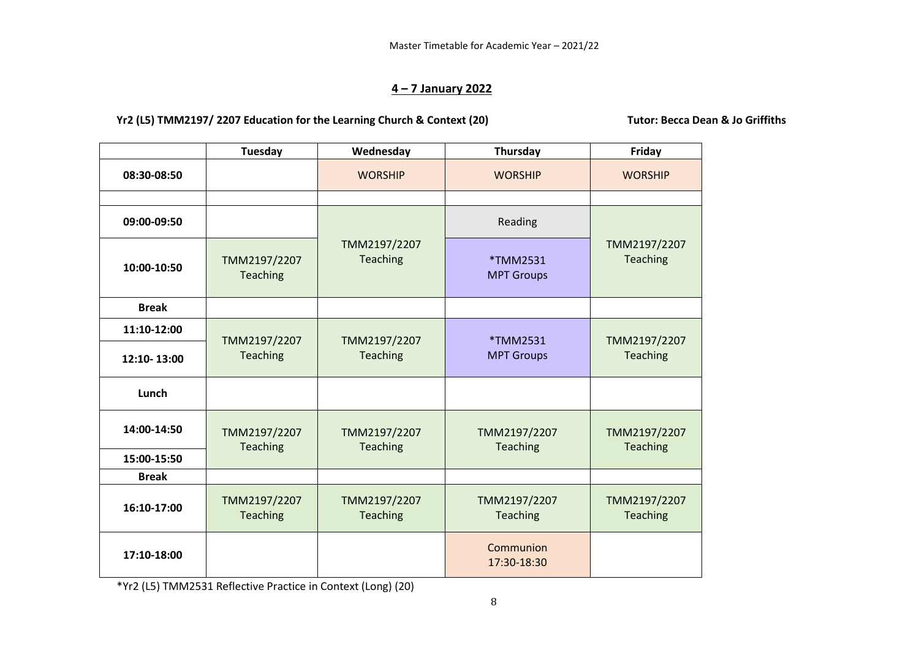# **4 – 7 January 2022**

Yr2 (L5) **TMM2197/ 2207** Education for the Learning Church & Context (20) Tutor: Becca Dean & Jo Griffiths

|              | Tuesday                         | Wednesday                       | Thursday                      | Friday                          |  |
|--------------|---------------------------------|---------------------------------|-------------------------------|---------------------------------|--|
| 08:30-08:50  |                                 | <b>WORSHIP</b>                  | <b>WORSHIP</b>                | <b>WORSHIP</b>                  |  |
|              |                                 |                                 |                               |                                 |  |
| 09:00-09:50  |                                 |                                 | Reading                       |                                 |  |
| 10:00-10:50  | TMM2197/2207<br><b>Teaching</b> | TMM2197/2207<br><b>Teaching</b> | *TMM2531<br><b>MPT Groups</b> | TMM2197/2207<br><b>Teaching</b> |  |
| <b>Break</b> |                                 |                                 |                               |                                 |  |
| 11:10-12:00  | TMM2197/2207                    | TMM2197/2207                    | *TMM2531                      | TMM2197/2207                    |  |
| 12:10-13:00  | <b>Teaching</b>                 | <b>Teaching</b>                 | <b>MPT Groups</b>             | <b>Teaching</b>                 |  |
| Lunch        |                                 |                                 |                               |                                 |  |
| 14:00-14:50  | TMM2197/2207<br><b>Teaching</b> | TMM2197/2207<br><b>Teaching</b> | TMM2197/2207<br>Teaching      | TMM2197/2207<br><b>Teaching</b> |  |
| 15:00-15:50  |                                 |                                 |                               |                                 |  |
| <b>Break</b> |                                 |                                 |                               |                                 |  |
| 16:10-17:00  | TMM2197/2207<br><b>Teaching</b> | TMM2197/2207<br><b>Teaching</b> | TMM2197/2207<br>Teaching      | TMM2197/2207<br>Teaching        |  |
| 17:10-18:00  |                                 |                                 | Communion<br>17:30-18:30      |                                 |  |

\*Yr2 (L5) TMM2531 Reflective Practice in Context (Long) (20)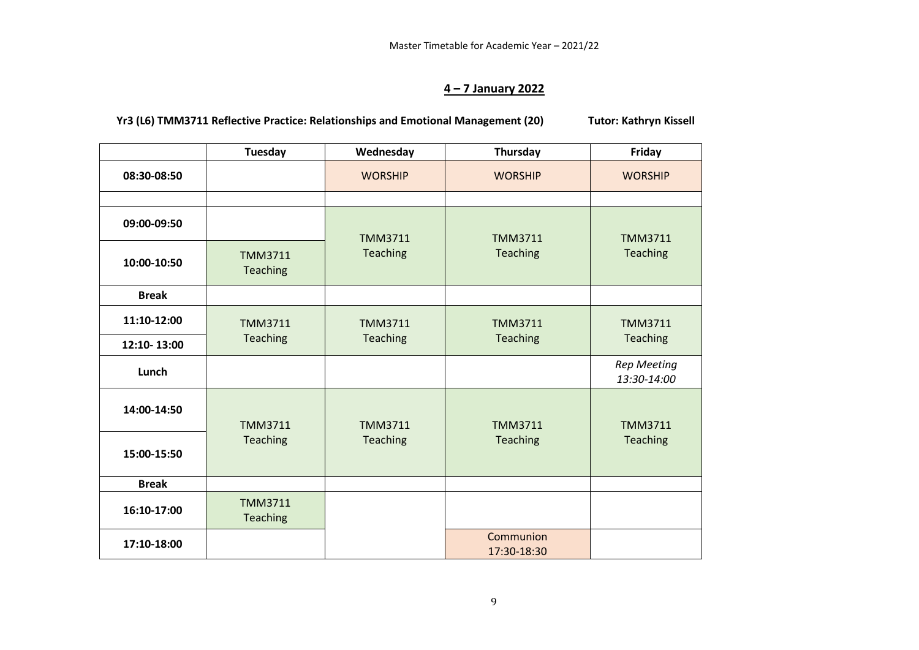# **4 – 7 January 2022**

**Yr3 (L6) TMM3711 Reflective Practice: Relationships and Emotional Management (20) Tutor: Kathryn Kissell**

|              | <b>Tuesday</b>             | Wednesday      | Thursday                 | <b>Friday</b>                     |
|--------------|----------------------------|----------------|--------------------------|-----------------------------------|
| 08:30-08:50  |                            | <b>WORSHIP</b> | <b>WORSHIP</b>           | <b>WORSHIP</b>                    |
|              |                            |                |                          |                                   |
| 09:00-09:50  |                            | <b>TMM3711</b> | <b>TMM3711</b>           | <b>TMM3711</b>                    |
| 10:00-10:50  | <b>TMM3711</b><br>Teaching | Teaching       | Teaching                 | Teaching                          |
| <b>Break</b> |                            |                |                          |                                   |
| 11:10-12:00  | <b>TMM3711</b>             | <b>TMM3711</b> | <b>TMM3711</b>           | <b>TMM3711</b>                    |
| 12:10-13:00  | Teaching                   | Teaching       | Teaching                 | Teaching                          |
| Lunch        |                            |                |                          | <b>Rep Meeting</b><br>13:30-14:00 |
| 14:00-14:50  | <b>TMM3711</b>             | <b>TMM3711</b> | <b>TMM3711</b>           | <b>TMM3711</b>                    |
| 15:00-15:50  | Teaching                   | Teaching       | Teaching                 | Teaching                          |
| <b>Break</b> |                            |                |                          |                                   |
| 16:10-17:00  | <b>TMM3711</b><br>Teaching |                |                          |                                   |
| 17:10-18:00  |                            |                | Communion<br>17:30-18:30 |                                   |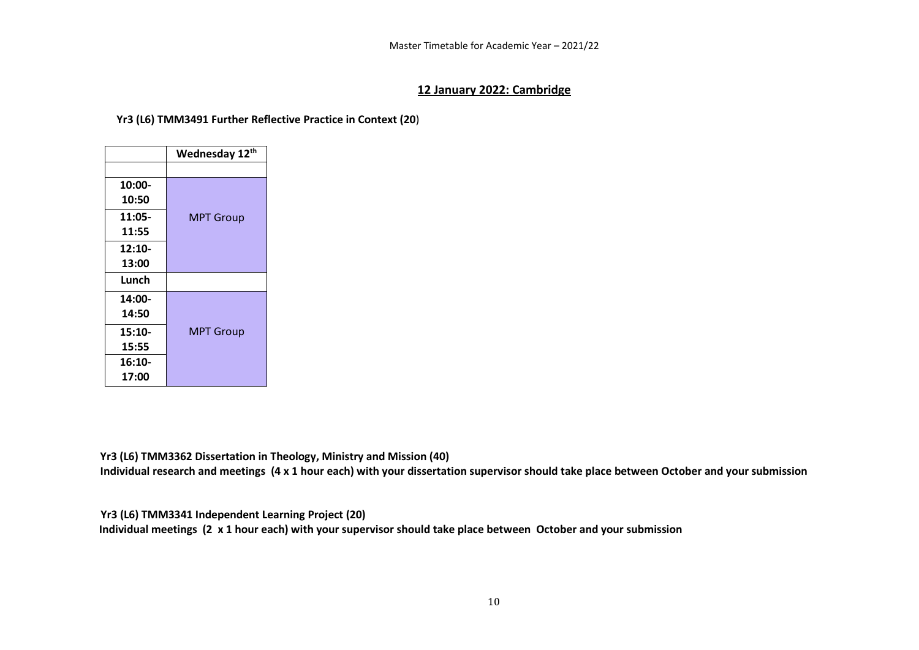# **12 January 2022: Cambridge**

**Yr3 (L6) TMM3491 Further Reflective Practice in Context (20**)

|          | Wednesday 12th   |
|----------|------------------|
|          |                  |
| 10:00-   |                  |
| 10:50    |                  |
| 11:05-   | <b>MPT Group</b> |
| 11:55    |                  |
| $12:10-$ |                  |
| 13:00    |                  |
| Lunch    |                  |
| $14:00-$ |                  |
| 14:50    |                  |
| $15:10-$ | <b>MPT Group</b> |
| 15:55    |                  |
| $16:10-$ |                  |
| 17:00    |                  |

**Yr3 (L6) TMM3362 Dissertation in Theology, Ministry and Mission (40)**

**Individual research and meetings (4 x 1 hour each) with your dissertation supervisor should take place between October and your submission** 

**Yr3 (L6) TMM3341 Independent Learning Project (20)** 

 **Individual meetings (2 x 1 hour each) with your supervisor should take place between October and your submission**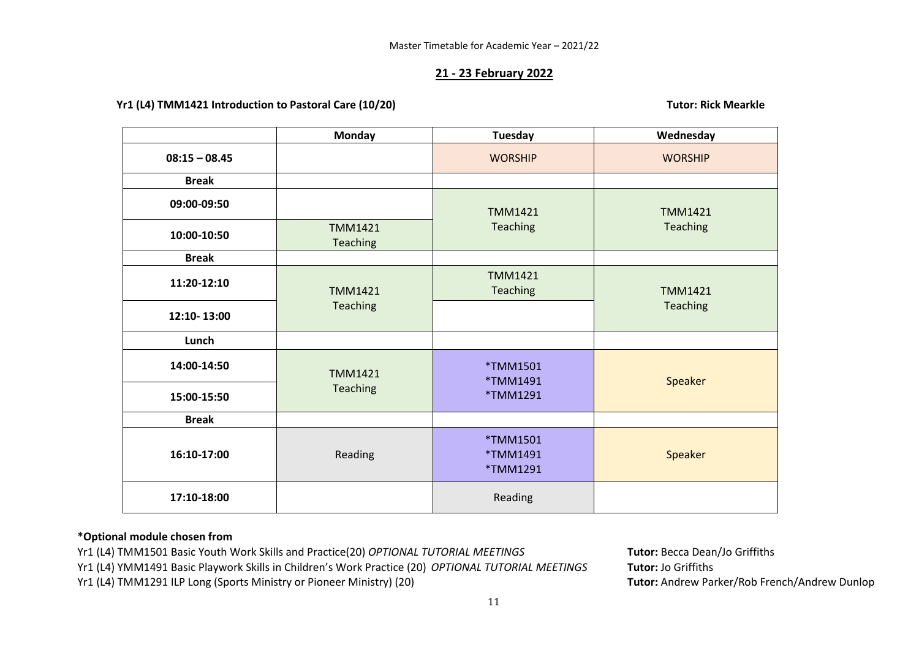## **21 - 23 February 2022**

#### **Yr1 (L4) TMM1421 Introduction to Pastoral Care (10/20) Tutor: Rick Mearkle**

|                 | <b>Monday</b>                     | Tuesday                          | Wednesday      |
|-----------------|-----------------------------------|----------------------------------|----------------|
| $08:15 - 08.45$ |                                   | <b>WORSHIP</b>                   | <b>WORSHIP</b> |
| <b>Break</b>    |                                   |                                  |                |
| 09:00-09:50     |                                   | <b>TMM1421</b>                   | <b>TMM1421</b> |
| 10:00-10:50     | <b>TMM1421</b><br><b>Teaching</b> | Teaching                         | Teaching       |
| <b>Break</b>    |                                   |                                  |                |
| 11:20-12:10     | <b>TMM1421</b>                    | <b>TMM1421</b><br>Teaching       | <b>TMM1421</b> |
| 12:10-13:00     | Teaching                          |                                  | Teaching       |
| Lunch           |                                   |                                  |                |
| 14:00-14:50     | <b>TMM1421</b>                    | *TMM1501<br>*TMM1491             | Speaker        |
| 15:00-15:50     | Teaching                          | *TMM1291                         |                |
| <b>Break</b>    |                                   |                                  |                |
| 16:10-17:00     | Reading                           | *TMM1501<br>*TMM1491<br>*TMM1291 | Speaker        |
| 17:10-18:00     |                                   | Reading                          |                |

### **\*Optional module chosen from**

- Yr1 (L4) TMM1501 Basic Youth Work Skills and Practice(20) *OPTIONAL TUTORIAL MEETINGS* **Tutor:** Becca Dean/Jo Griffiths
- Yr1 (L4) YMM1491 Basic Playwork Skills in Children's Work Practice (20) *OPTIONAL TUTORIAL MEETINGS* **Tutor:** Jo Griffiths
- Yr1 (L4) TMM1291 ILP Long (Sports Ministry or Pioneer Ministry) (20) **Tutor:** Andrew Parker/Rob French/Andrew Dunlop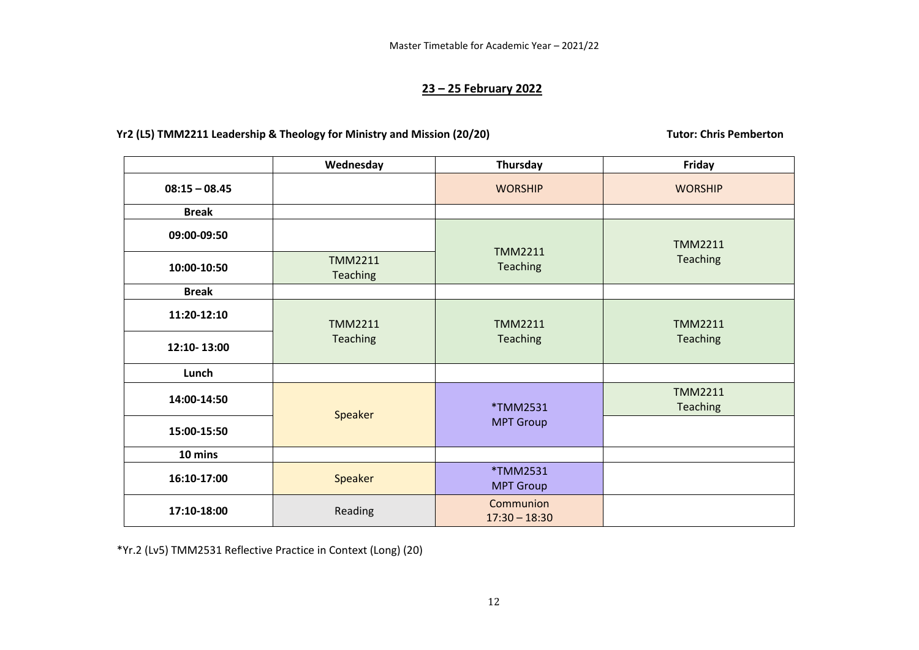# **23 – 25 February 2022**

# Yr2 (L5) **TMM2211** Leadership & Theology for Ministry and Mission (20/20) Tutor: Chris Pemberton

|                 | Wednesday                         | Thursday                     | Friday                     |
|-----------------|-----------------------------------|------------------------------|----------------------------|
| $08:15 - 08.45$ |                                   | <b>WORSHIP</b>               | <b>WORSHIP</b>             |
| <b>Break</b>    |                                   |                              |                            |
| 09:00-09:50     |                                   | <b>TMM2211</b>               | <b>TMM2211</b>             |
| 10:00-10:50     | <b>TMM2211</b><br><b>Teaching</b> | Teaching                     | Teaching                   |
| <b>Break</b>    |                                   |                              |                            |
| 11:20-12:10     | <b>TMM2211</b>                    | <b>TMM2211</b>               | <b>TMM2211</b>             |
| 12:10-13:00     | <b>Teaching</b>                   | Teaching                     | Teaching                   |
| Lunch           |                                   |                              |                            |
| 14:00-14:50     | Speaker                           | *TMM2531                     | <b>TMM2211</b><br>Teaching |
| 15:00-15:50     |                                   | <b>MPT Group</b>             |                            |
| 10 mins         |                                   |                              |                            |
| 16:10-17:00     | Speaker                           | *TMM2531<br><b>MPT Group</b> |                            |
| 17:10-18:00     | Reading                           | Communion<br>$17:30 - 18:30$ |                            |

\*Yr.2 (Lv5) TMM2531 Reflective Practice in Context (Long) (20)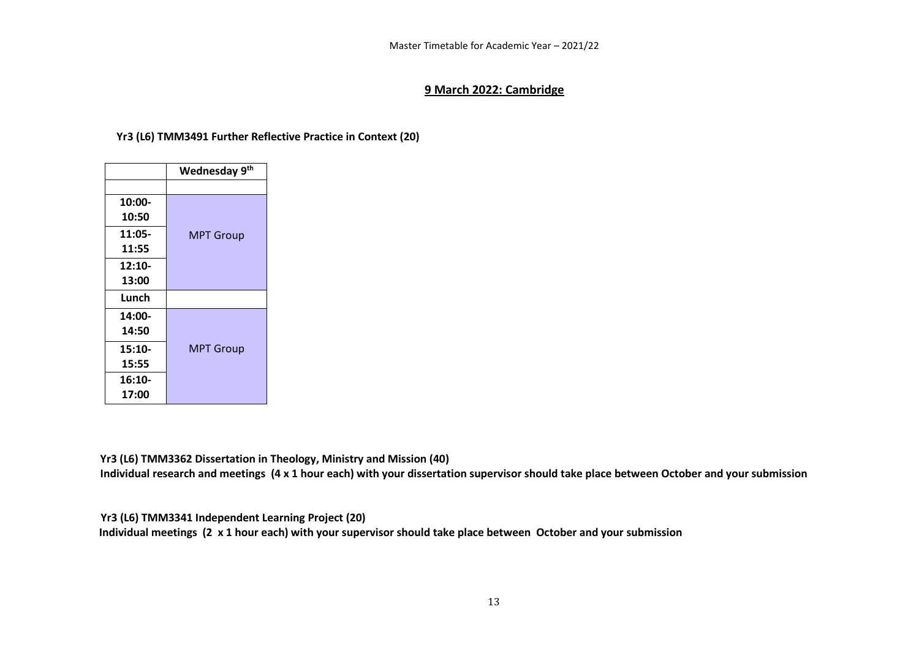#### **9 March 2022: Cambridge**

# **Yr3 (L6) TMM3491 Further Reflective Practice in Context (20)**

|          | Wednesday 9th    |
|----------|------------------|
|          |                  |
| 10:00-   |                  |
| 10:50    |                  |
| $11:05-$ | <b>MPT Group</b> |
| 11:55    |                  |
| $12:10-$ |                  |
| 13:00    |                  |
| Lunch    |                  |
| 14:00-   |                  |
| 14:50    |                  |
| $15:10-$ | <b>MPT Group</b> |
| 15:55    |                  |
| $16:10-$ |                  |
| 17:00    |                  |

**Yr3 (L6) TMM3362 Dissertation in Theology, Ministry and Mission (40)**

**Individual research and meetings (4 x 1 hour each) with your dissertation supervisor should take place between October and your submission** 

**Yr3 (L6) TMM3341 Independent Learning Project (20)** 

 **Individual meetings (2 x 1 hour each) with your supervisor should take place between October and your submission**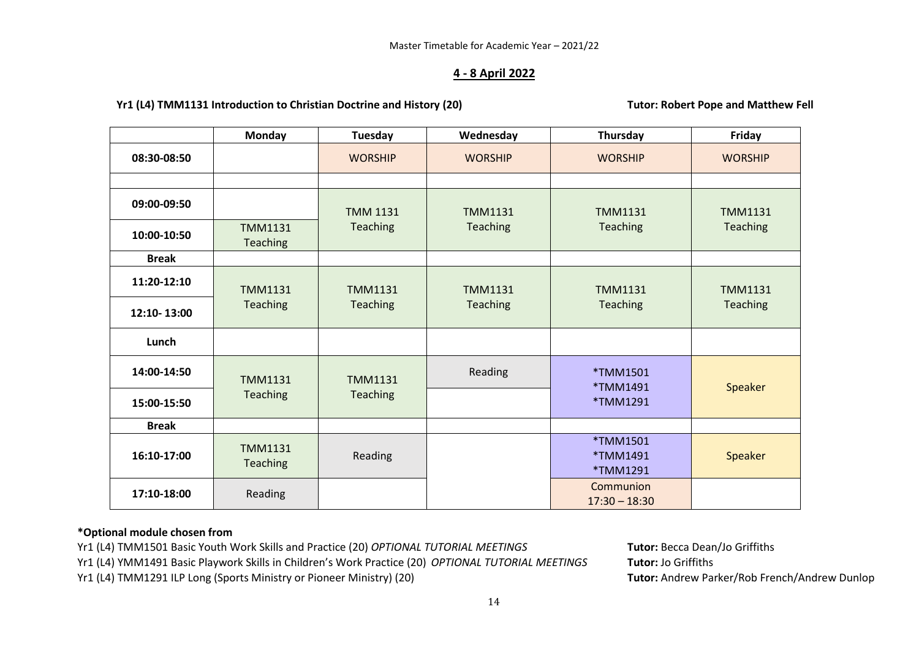# **4 - 8 April 2022**

### Yr1 (L4) TMM1131 Introduction to Christian Doctrine and History (20) Tutor: Robert Pope and Matthew Fell

|              | <b>Monday</b>              | Tuesday         | Wednesday      | Thursday                         | Friday          |
|--------------|----------------------------|-----------------|----------------|----------------------------------|-----------------|
| 08:30-08:50  |                            | <b>WORSHIP</b>  | <b>WORSHIP</b> | <b>WORSHIP</b>                   | <b>WORSHIP</b>  |
|              |                            |                 |                |                                  |                 |
| 09:00-09:50  |                            | <b>TMM 1131</b> | <b>TMM1131</b> | <b>TMM1131</b>                   | <b>TMM1131</b>  |
| 10:00-10:50  | <b>TMM1131</b><br>Teaching | <b>Teaching</b> | Teaching       | Teaching                         | <b>Teaching</b> |
| <b>Break</b> |                            |                 |                |                                  |                 |
| 11:20-12:10  | <b>TMM1131</b>             | <b>TMM1131</b>  | <b>TMM1131</b> | <b>TMM1131</b>                   | <b>TMM1131</b>  |
| 12:10-13:00  | Teaching                   | <b>Teaching</b> | Teaching       | Teaching                         | <b>Teaching</b> |
| Lunch        |                            |                 |                |                                  |                 |
| 14:00-14:50  | <b>TMM1131</b>             | <b>TMM1131</b>  | Reading        | *TMM1501<br>*TMM1491             | Speaker         |
| 15:00-15:50  | Teaching                   | <b>Teaching</b> |                | *TMM1291                         |                 |
| <b>Break</b> |                            |                 |                |                                  |                 |
| 16:10-17:00  | <b>TMM1131</b><br>Teaching | Reading         |                | *TMM1501<br>*TMM1491<br>*TMM1291 | <b>Speaker</b>  |
| 17:10-18:00  | Reading                    |                 |                | Communion<br>$17:30 - 18:30$     |                 |

# **\*Optional module chosen from**

Yr1 (L4) TMM1501 Basic Youth Work Skills and Practice (20) *OPTIONAL TUTORIAL MEETINGS* **Tutor:** Becca Dean/Jo Griffiths

Yr1 (L4) YMM1491 Basic Playwork Skills in Children's Work Practice (20) *OPTIONAL TUTORIAL MEETINGS* **Tutor:** Jo Griffiths

Yr1 (L4) TMM1291 ILP Long (Sports Ministry or Pioneer Ministry) (20) **Tutor:** Andrew Parker/Rob French/Andrew Dunlop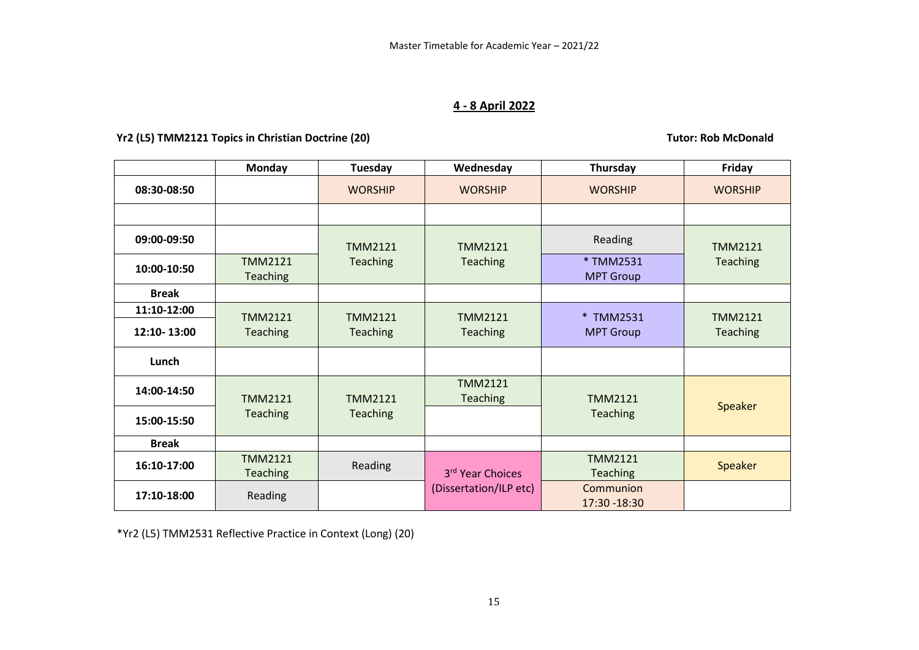# **4 - 8 April 2022**

# Yr2 (L5) TMM2121 Topics in Christian Doctrine (20) **Tutor: Rob McDonald Tutor: Rob McDonald**

|              | Monday                            | Tuesday         | Wednesday                  | Thursday                          | Friday          |
|--------------|-----------------------------------|-----------------|----------------------------|-----------------------------------|-----------------|
| 08:30-08:50  |                                   | <b>WORSHIP</b>  | <b>WORSHIP</b>             | <b>WORSHIP</b>                    | <b>WORSHIP</b>  |
|              |                                   |                 |                            |                                   |                 |
| 09:00-09:50  |                                   | <b>TMM2121</b>  | TMM2121                    | Reading                           | <b>TMM2121</b>  |
| 10:00-10:50  | TMM2121<br>Teaching               | Teaching        | Teaching                   | * TMM2531<br><b>MPT Group</b>     | Teaching        |
| <b>Break</b> |                                   |                 |                            |                                   |                 |
| 11:10-12:00  | <b>TMM2121</b>                    | <b>TMM2121</b>  | <b>TMM2121</b>             | * TMM2531                         | <b>TMM2121</b>  |
| 12:10-13:00  | Teaching                          | Teaching        | Teaching                   | <b>MPT Group</b>                  | <b>Teaching</b> |
| Lunch        |                                   |                 |                            |                                   |                 |
| 14:00-14:50  | <b>TMM2121</b>                    | <b>TMM2121</b>  | <b>TMM2121</b><br>Teaching | TMM2121                           |                 |
| 15:00-15:50  | Teaching                          | <b>Teaching</b> |                            | <b>Teaching</b>                   | Speaker         |
| <b>Break</b> |                                   |                 |                            |                                   |                 |
| 16:10-17:00  | <b>TMM2121</b><br><b>Teaching</b> | <b>Reading</b>  | 3rd Year Choices           | <b>TMM2121</b><br><b>Teaching</b> | Speaker         |
| 17:10-18:00  | Reading                           |                 | (Dissertation/ILP etc)     | Communion<br>17:30 - 18:30        |                 |

\*Yr2 (L5) TMM2531 Reflective Practice in Context (Long) (20)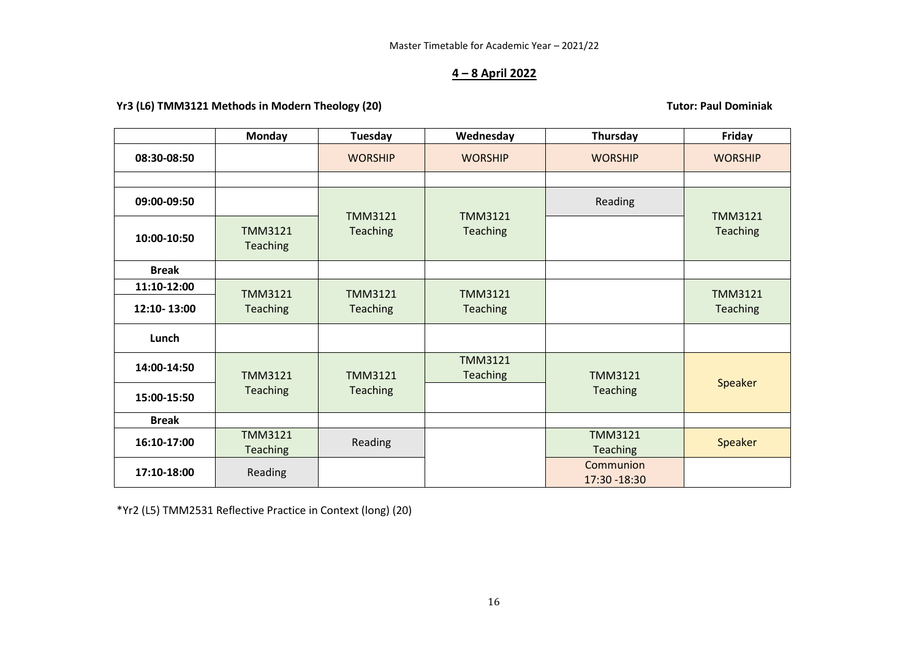# **4 – 8 April 2022**

# **Yr3 (L6) TMM3121 Methods in Modern Theology (20) Tutor: Paul Dominiak**

|              | Monday                            | Tuesday                    | Wednesday                  | Thursday                          | Friday         |
|--------------|-----------------------------------|----------------------------|----------------------------|-----------------------------------|----------------|
| 08:30-08:50  |                                   | <b>WORSHIP</b>             | <b>WORSHIP</b>             | <b>WORSHIP</b>                    | <b>WORSHIP</b> |
|              |                                   |                            |                            |                                   |                |
| 09:00-09:50  |                                   |                            | <b>TMM3121</b><br>Teaching | Reading                           | <b>TMM3121</b> |
| 10:00-10:50  | <b>TMM3121</b><br>Teaching        | <b>TMM3121</b><br>Teaching |                            |                                   | Teaching       |
| <b>Break</b> |                                   |                            |                            |                                   |                |
| 11:10-12:00  | <b>TMM3121</b>                    | <b>TMM3121</b>             | <b>TMM3121</b>             |                                   | <b>TMM3121</b> |
| 12:10-13:00  | Teaching                          | Teaching                   | Teaching                   |                                   | Teaching       |
| Lunch        |                                   |                            |                            |                                   |                |
| 14:00-14:50  | <b>TMM3121</b>                    | <b>TMM3121</b>             | <b>TMM3121</b><br>Teaching | <b>TMM3121</b>                    |                |
| 15:00-15:50  | Teaching                          | Teaching                   |                            | <b>Teaching</b>                   | Speaker        |
| <b>Break</b> |                                   |                            |                            |                                   |                |
| 16:10-17:00  | <b>TMM3121</b><br><b>Teaching</b> | Reading                    |                            | <b>TMM3121</b><br><b>Teaching</b> | Speaker        |
| 17:10-18:00  | Reading                           |                            |                            | Communion<br>17:30 - 18:30        |                |

\*Yr2 (L5) TMM2531 Reflective Practice in Context (long) (20)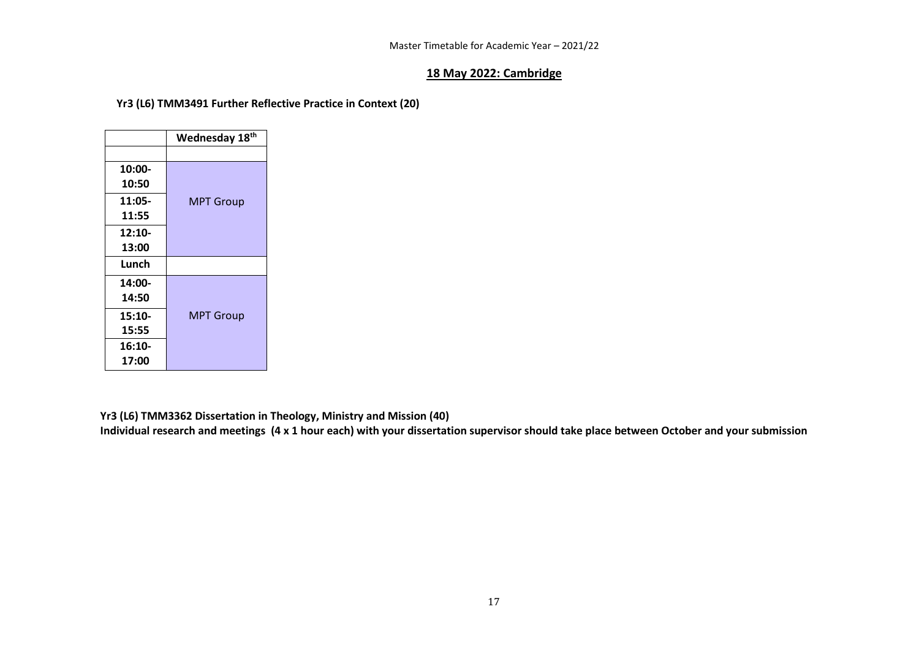### **18 May 2022: Cambridge**

# **Yr3 (L6) TMM3491 Further Reflective Practice in Context (20)**

|          | Wednesday 18th   |
|----------|------------------|
|          |                  |
| 10:00-   |                  |
| 10:50    |                  |
| 11:05-   | <b>MPT Group</b> |
| 11:55    |                  |
| 12:10-   |                  |
| 13:00    |                  |
| Lunch    |                  |
| 14:00-   |                  |
| 14:50    |                  |
| $15:10-$ | <b>MPT Group</b> |
| 15:55    |                  |
| $16:10-$ |                  |
| 17:00    |                  |

**Yr3 (L6) TMM3362 Dissertation in Theology, Ministry and Mission (40)**

**Individual research and meetings (4 x 1 hour each) with your dissertation supervisor should take place between October and your submission**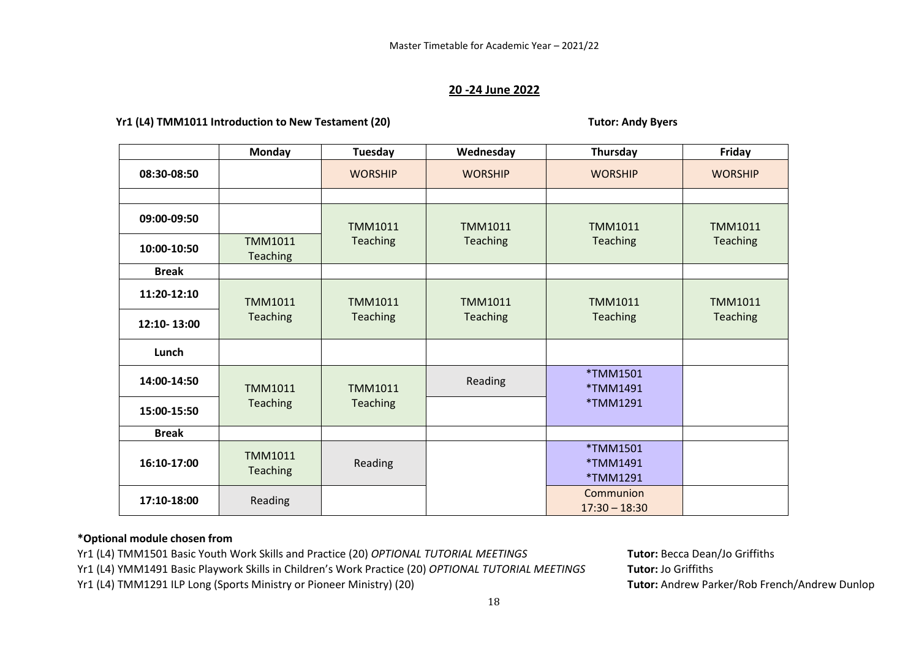#### **20 -24 June 2022**

#### Yr1 (L4) TMM1011 Introduction to New Testament (20) Transfer and the System of Tutor: Andy Byers

|              | <b>Monday</b>                     | Tuesday         | Wednesday       | Thursday                         | Friday          |
|--------------|-----------------------------------|-----------------|-----------------|----------------------------------|-----------------|
| 08:30-08:50  |                                   | <b>WORSHIP</b>  | <b>WORSHIP</b>  | <b>WORSHIP</b>                   | <b>WORSHIP</b>  |
|              |                                   |                 |                 |                                  |                 |
| 09:00-09:50  |                                   | <b>TMM1011</b>  | <b>TMM1011</b>  | <b>TMM1011</b>                   | <b>TMM1011</b>  |
| 10:00-10:50  | <b>TMM1011</b><br><b>Teaching</b> | <b>Teaching</b> | <b>Teaching</b> | Teaching                         | Teaching        |
| <b>Break</b> |                                   |                 |                 |                                  |                 |
| 11:20-12:10  | <b>TMM1011</b>                    | <b>TMM1011</b>  | <b>TMM1011</b>  | <b>TMM1011</b>                   | <b>TMM1011</b>  |
| 12:10-13:00  | <b>Teaching</b>                   | <b>Teaching</b> | <b>Teaching</b> | <b>Teaching</b>                  | <b>Teaching</b> |
| Lunch        |                                   |                 |                 |                                  |                 |
| 14:00-14:50  | <b>TMM1011</b>                    | <b>TMM1011</b>  | Reading         | *TMM1501<br>*TMM1491             |                 |
| 15:00-15:50  | <b>Teaching</b>                   | <b>Teaching</b> |                 | *TMM1291                         |                 |
| <b>Break</b> |                                   |                 |                 |                                  |                 |
| 16:10-17:00  | <b>TMM1011</b><br><b>Teaching</b> | Reading         |                 | *TMM1501<br>*TMM1491<br>*TMM1291 |                 |
| 17:10-18:00  | Reading                           |                 |                 | Communion<br>$17:30 - 18:30$     |                 |

#### **\*Optional module chosen from**

Yr1 (L4) TMM1501 Basic Youth Work Skills and Practice (20) *OPTIONAL TUTORIAL MEETINGS* **Tutor:** Becca Dean/Jo Griffiths

Yr1 (L4) YMM1491 Basic Playwork Skills in Children's Work Practice (20) *OPTIONAL TUTORIAL MEETINGS* **Tutor:** Jo Griffiths

Yr1 (L4) TMM1291 ILP Long (Sports Ministry or Pioneer Ministry) (20) **Tutor:** Andrew Parker/Rob French/Andrew Dunlop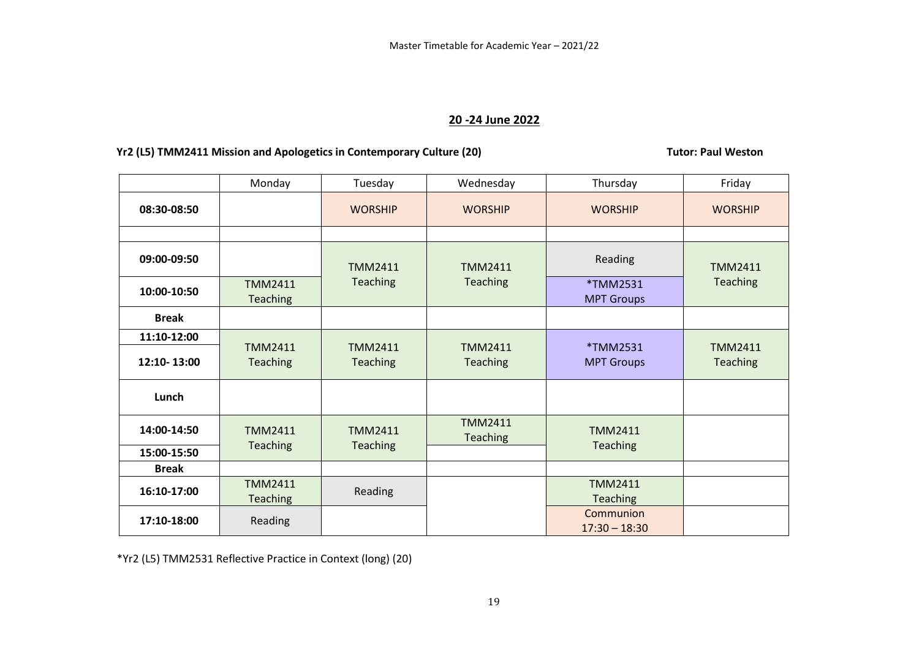# **20 -24 June 2022**

# Yr2 (L5) TMM2411 Mission and Apologetics in Contemporary Culture (20) **THE CONTENT CONTENT ACTS** Tutor: Paul Weston

|              | Monday                            | Tuesday                            | Wednesday                         | Thursday                          | Friday                            |
|--------------|-----------------------------------|------------------------------------|-----------------------------------|-----------------------------------|-----------------------------------|
| 08:30-08:50  |                                   | <b>WORSHIP</b>                     | <b>WORSHIP</b>                    | <b>WORSHIP</b>                    | <b>WORSHIP</b>                    |
|              |                                   |                                    |                                   |                                   |                                   |
| 09:00-09:50  |                                   | <b>TMM2411</b>                     | <b>TMM2411</b>                    | Reading                           | <b>TMM2411</b>                    |
| 10:00-10:50  | <b>TMM2411</b><br><b>Teaching</b> | <b>Teaching</b><br><b>Teaching</b> |                                   | *TMM2531<br><b>MPT Groups</b>     | Teaching                          |
| <b>Break</b> |                                   |                                    |                                   |                                   |                                   |
| 11:10-12:00  |                                   |                                    |                                   |                                   |                                   |
| 12:10-13:00  | <b>TMM2411</b><br><b>Teaching</b> | <b>TMM2411</b><br><b>Teaching</b>  | <b>TMM2411</b><br><b>Teaching</b> | *TMM2531<br><b>MPT Groups</b>     | <b>TMM2411</b><br><b>Teaching</b> |
| Lunch        |                                   |                                    |                                   |                                   |                                   |
| 14:00-14:50  | <b>TMM2411</b>                    | <b>TMM2411</b>                     | <b>TMM2411</b><br><b>Teaching</b> | <b>TMM2411</b>                    |                                   |
| 15:00-15:50  | <b>Teaching</b>                   | <b>Teaching</b>                    |                                   | <b>Teaching</b>                   |                                   |
| <b>Break</b> |                                   |                                    |                                   |                                   |                                   |
| 16:10-17:00  | <b>TMM2411</b><br><b>Teaching</b> | Reading                            |                                   | <b>TMM2411</b><br><b>Teaching</b> |                                   |
| 17:10-18:00  | Reading                           |                                    |                                   | Communion<br>$17:30 - 18:30$      |                                   |

\*Yr2 (L5) TMM2531 Reflective Practice in Context (long) (20)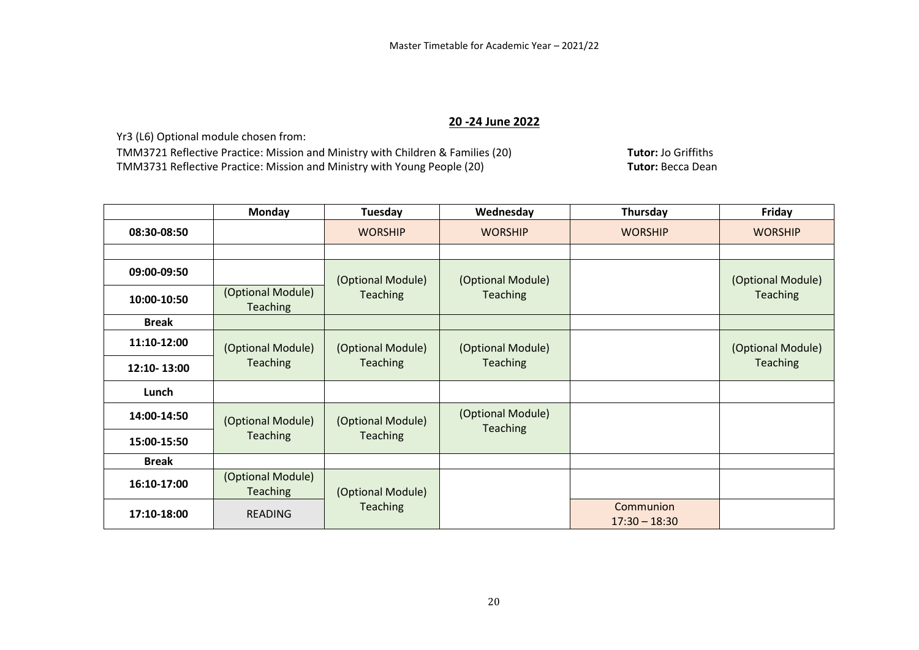# **20 -24 June 2022**

Yr3 (L6) Optional module chosen from:

TMM3721 Reflective Practice: Mission and Ministry with Children & Families (20) **Tutor:** Jo Griffiths TMM3731 Reflective Practice: Mission and Ministry with Young People (20)

|              | <b>Monday</b>                        | Tuesday           | Wednesday         | Thursday                     | Friday            |
|--------------|--------------------------------------|-------------------|-------------------|------------------------------|-------------------|
| 08:30-08:50  |                                      | <b>WORSHIP</b>    | <b>WORSHIP</b>    | <b>WORSHIP</b>               | <b>WORSHIP</b>    |
|              |                                      |                   |                   |                              |                   |
| 09:00-09:50  |                                      | (Optional Module) | (Optional Module) |                              | (Optional Module) |
| 10:00-10:50  | (Optional Module)<br><b>Teaching</b> | <b>Teaching</b>   | <b>Teaching</b>   |                              | Teaching          |
| <b>Break</b> |                                      |                   |                   |                              |                   |
| 11:10-12:00  | (Optional Module)                    | (Optional Module) | (Optional Module) |                              | (Optional Module) |
| 12:10-13:00  | <b>Teaching</b>                      | <b>Teaching</b>   | <b>Teaching</b>   |                              | Teaching          |
| Lunch        |                                      |                   |                   |                              |                   |
| 14:00-14:50  | (Optional Module)                    | (Optional Module) | (Optional Module) |                              |                   |
| 15:00-15:50  | <b>Teaching</b>                      | <b>Teaching</b>   | <b>Teaching</b>   |                              |                   |
| <b>Break</b> |                                      |                   |                   |                              |                   |
| 16:10-17:00  | (Optional Module)<br><b>Teaching</b> | (Optional Module) |                   |                              |                   |
| 17:10-18:00  | <b>READING</b>                       | <b>Teaching</b>   |                   | Communion<br>$17:30 - 18:30$ |                   |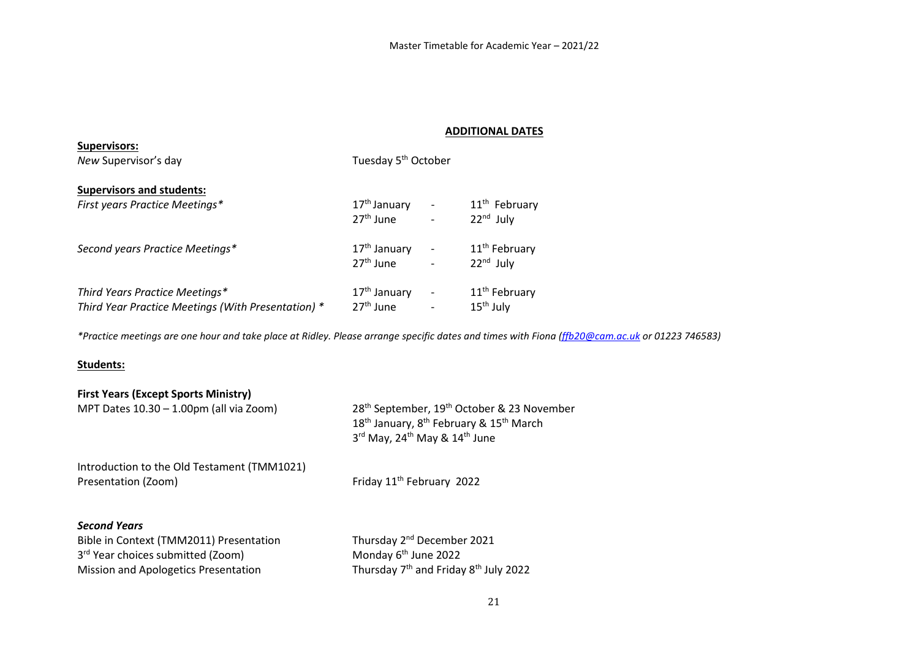### **ADDITIONAL DATES**

| <b>Supervisors:</b>                                |                                 |                              |                           |  |
|----------------------------------------------------|---------------------------------|------------------------------|---------------------------|--|
| New Supervisor's day                               | Tuesday 5 <sup>th</sup> October |                              |                           |  |
| <b>Supervisors and students:</b>                   |                                 |                              |                           |  |
| First years Practice Meetings*                     | 17 <sup>th</sup> January        | $\qquad \qquad \blacksquare$ | 11 <sup>th</sup> February |  |
|                                                    | $27th$ June                     | $\overline{\phantom{0}}$     | $22nd$ July               |  |
| Second years Practice Meetings*                    | $17th$ January                  |                              | 11 <sup>th</sup> February |  |
|                                                    | $27th$ June                     |                              | $22nd$ July               |  |
| Third Years Practice Meetings*                     | $17th$ January                  | $\overline{\phantom{a}}$     | 11 <sup>th</sup> February |  |
| Third Year Practice Meetings (With Presentation) * | $27th$ June                     |                              | $15th$ July               |  |

*\*Practice meetings are one hour and take place at Ridley. Please arrange specific dates and times with Fiona [\(ffb20@cam.ac.uk](mailto:ffb20@cam.ac.uk) or 01223 746583)*

#### **Students:**

| <b>First Years (Except Sports Ministry)</b><br>MPT Dates $10.30 - 1.00$ pm (all via Zoom) | 28 <sup>th</sup> September, 19 <sup>th</sup> October & 23 November<br>18 <sup>th</sup> January, 8 <sup>th</sup> February & 15 <sup>th</sup> March<br>3rd May, 24 <sup>th</sup> May & 14 <sup>th</sup> June |
|-------------------------------------------------------------------------------------------|------------------------------------------------------------------------------------------------------------------------------------------------------------------------------------------------------------|
| Introduction to the Old Testament (TMM1021)<br>Presentation (Zoom)                        | Friday 11 <sup>th</sup> February 2022                                                                                                                                                                      |
| <b>Second Years</b><br>Bible in Context (TMM2011) Presentation                            | Thursday 2 <sup>nd</sup> December 2021                                                                                                                                                                     |

 $3^{rd}$  Year choices submitted (Zoom)<br>
Mission and Apologetics Presentation<br>
Mission and Apologetics Presentation<br>
Mission and Apologetics Presentation<br>
Mission and Apologetics Presentation Mission and Apologetics Presentation